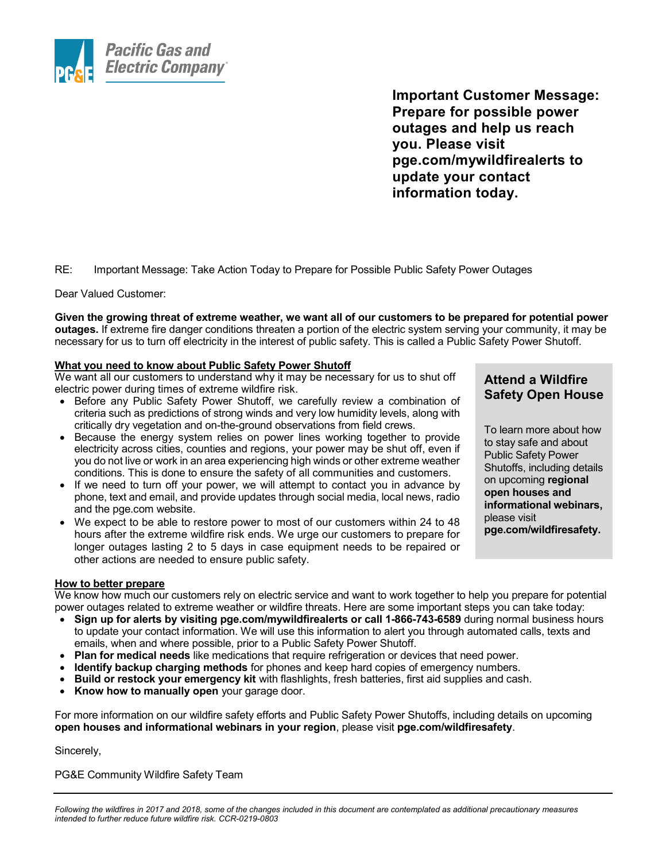

**Important Customer Message: Prepare for possible power outages and help us reach you. Please visit pge.com/mywildfirealerts to update your contact information today.**

RE: Important Message: Take Action Today to Prepare for Possible Public Safety Power Outages

Dear Valued Customer:

**Given the growing threat of extreme weather, we want all of our customers to be prepared for potential power outages.** If extreme fire danger conditions threaten a portion of the electric system serving your community, it may be necessary for us to turn off electricity in the interest of public safety. This is called a Public Safety Power Shutoff.

## **What you need to know about Public Safety Power Shutoff**

We want all our customers to understand why it may be necessary for us to shut off electric power during times of extreme wildfire risk.

- Before any Public Safety Power Shutoff, we carefully review a combination of criteria such as predictions of strong winds and very low humidity levels, along with critically dry vegetation and on-the-ground observations from field crews.
- Because the energy system relies on power lines working together to provide electricity across cities, counties and regions, your power may be shut off, even if you do not live or work in an area experiencing high winds or other extreme weather conditions. This is done to ensure the safety of all communities and customers.
- If we need to turn off your power, we will attempt to contact you in advance by phone, text and email, and provide updates through social media, local news, radio and the pge.com website.
- We expect to be able to restore power to most of our customers within 24 to 48 hours after the extreme wildfire risk ends. We urge our customers to prepare for longer outages lasting 2 to 5 days in case equipment needs to be repaired or other actions are needed to ensure public safety.

## **Attend a Wildfire Safety Open House**

To learn more about how to stay safe and about Public Safety Power Shutoffs, including details on upcoming **regional open houses and informational webinars,** please visit **pge.com/wildfiresafety.**

## **How to better prepare**

We know how much our customers rely on electric service and want to work together to help you prepare for potential power outages related to extreme weather or wildfire threats. Here are some important steps you can take today:

- **Sign up for alerts by visiting pge.com/mywildfirealerts or call 1-866-743-6589** during normal business hours to update your contact information. We will use this information to alert you through automated calls, texts and emails, when and where possible, prior to a Public Safety Power Shutoff.
- **Plan for medical needs** like medications that require refrigeration or devices that need power.
- **Identify backup charging methods** for phones and keep hard copies of emergency numbers.
- **Build or restock your emergency kit** with flashlights, fresh batteries, first aid supplies and cash.
- **Know how to manually open** your garage door.

For more information on our wildfire safety efforts and Public Safety Power Shutoffs, including details on upcoming **open houses and informational webinars in your region**, please visit **pge.com/wildfiresafety**.

Sincerely,

PG&E Community Wildfire Safety Team